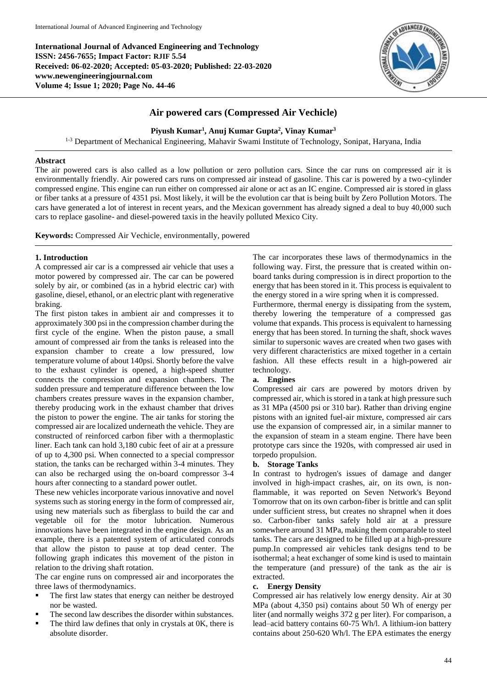**International Journal of Advanced Engineering and Technology ISSN: 2456-7655; Impact Factor: RJIF 5.54 Received: 06-02-2020; Accepted: 05-03-2020; Published: 22-03-2020 www.newengineeringjournal.com Volume 4; Issue 1; 2020; Page No. 44-46**



# **Air powered cars (Compressed Air Vechicle)**

**Piyush Kumar<sup>1</sup> , Anuj Kumar Gupta<sup>2</sup> , Vinay Kumar<sup>3</sup>**

1-3 Department of Mechanical Engineering, Mahavir Swami Institute of Technology, Sonipat, Haryana, India

## **Abstract**

The air powered cars is also called as a low pollution or zero pollution cars. Since the car runs on compressed air it is environmentally friendly. Air powered cars runs on compressed air instead of gasoline. This car is powered by a two-cylinder compressed engine. This engine can run either on compressed air alone or act as an IC engine. Compressed air is stored in glass or fiber tanks at a pressure of 4351 psi. Most likely, it will be the evolution car that is being built by Zero Pollution Motors. The cars have generated a lot of interest in recent years, and the Mexican government has already signed a deal to buy 40,000 such cars to replace gasoline- and diesel-powered taxis in the heavily polluted Mexico City.

**Keywords:** Compressed Air Vechicle, environmentally, powered

## **1. Introduction**

A compressed air car is a compressed air vehicle that uses a motor powered by compressed air. The car can be powered solely by air, or combined (as in a hybrid electric car) with gasoline, diesel, ethanol, or an electric plant with regenerative braking.

The first piston takes in ambient air and compresses it to approximately 300 psi in the compression chamber during the first cycle of the engine. When the piston pause, a small amount of compressed air from the tanks is released into the expansion chamber to create a low pressured, low temperature volume of about 140psi. Shortly before the valve to the exhaust cylinder is opened, a high-speed shutter connects the compression and expansion chambers. The sudden pressure and temperature difference between the low chambers creates pressure waves in the expansion chamber, thereby producing work in the exhaust chamber that drives the piston to power the engine. The air tanks for storing the compressed air are localized underneath the vehicle. They are constructed of reinforced carbon fiber with a thermoplastic liner. Each tank can hold 3,180 cubic feet of air at a pressure of up to 4,300 psi. When connected to a special compressor station, the tanks can be recharged within 3-4 minutes. They can also be recharged using the on-board compressor 3-4 hours after connecting to a standard power outlet.

These new vehicles incorporate various innovative and novel systems such as storing energy in the form of compressed air, using new materials such as fiberglass to build the car and vegetable oil for the motor lubrication. Numerous innovations have been integrated in the engine design. As an example, there is a patented system of articulated conrods that allow the piston to pause at top dead center. The following graph indicates this movement of the piston in relation to the driving shaft rotation.

The car engine runs on compressed air and incorporates the three laws of thermodynamics.

- The first law states that energy can neither be destroyed nor be wasted.
- The second law describes the disorder within substances.
- The third law defines that only in crystals at 0K, there is absolute disorder.

The car incorporates these laws of thermodynamics in the following way. First, the pressure that is created within onboard tanks during compression is in direct proportion to the energy that has been stored in it. This process is equivalent to the energy stored in a wire spring when it is compressed.

Furthermore, thermal energy is dissipating from the system, thereby lowering the temperature of a compressed gas volume that expands. This process is equivalent to harnessing energy that has been stored. In turning the shaft, shock waves similar to supersonic waves are created when two gases with very different characteristics are mixed together in a certain fashion. All these effects result in a high-powered air technology.

# **a. Engines**

Compressed air cars are powered by motors driven by compressed air, which is stored in a tank at high pressure such as 31 MPa (4500 psi or 310 bar). Rather than driving engine pistons with an ignited fuel-air mixture, compressed air cars use the expansion of compressed air, in a similar manner to the expansion of steam in a steam engine. There have been prototype cars since the 1920s, with compressed air used in torpedo propulsion.

## **b. Storage Tanks**

In contrast to hydrogen's issues of damage and danger involved in high-impact crashes, air, on its own, is nonflammable, it was reported on Seven Network's Beyond Tomorrow that on its own carbon-fiber is brittle and can split under sufficient stress, but creates no shrapnel when it does so. Carbon-fiber tanks safely hold air at a pressure somewhere around 31 MPa, making them comparable to steel tanks. The cars are designed to be filled up at a high-pressure pump.In compressed air vehicles tank designs tend to be isothermal; a heat exchanger of some kind is used to maintain the temperature (and pressure) of the tank as the air is extracted.

## **c. Energy Density**

Compressed air has relatively low energy density. Air at 30 MPa (about 4,350 psi) contains about 50 Wh of energy per liter (and normally weighs 372 g per liter). For comparison, a lead–acid battery contains 60-75 Wh/l. A lithium-ion battery contains about 250-620 Wh/l. The EPA estimates the energy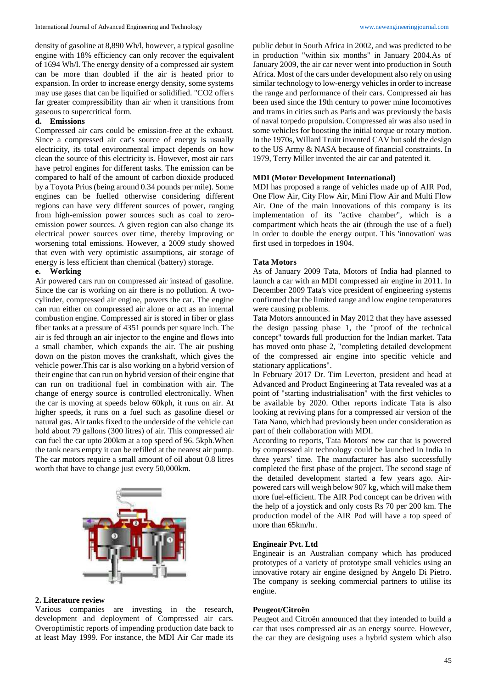density of gasoline at 8,890 Wh/l, however, a typical gasoline engine with 18% efficiency can only recover the equivalent of 1694 Wh/l. The energy density of a compressed air system can be more than doubled if the air is heated prior to expansion. In order to increase energy density, some systems may use gases that can be liquified or solidified. "CO2 offers far greater compressibility than air when it transitions from gaseous to supercritical form.

## **d. Emissions**

Compressed air cars could be emission-free at the exhaust. Since a compressed air car's source of energy is usually electricity, its total environmental impact depends on how clean the source of this electricity is. However, most air cars have petrol engines for different tasks. The emission can be compared to half of the amount of carbon dioxide produced by a Toyota Prius (being around 0.34 pounds per mile). Some engines can be fuelled otherwise considering different regions can have very different sources of power, ranging from high-emission power sources such as coal to zeroemission power sources. A given region can also change its electrical power sources over time, thereby improving or worsening total emissions. However, a 2009 study showed that even with very optimistic assumptions, air storage of energy is less efficient than chemical (battery) storage.

### **e. Working**

Air powered cars run on compressed air instead of gasoline. Since the car is working on air there is no pollution. A twocylinder, compressed air engine, powers the car. The engine can run either on compressed air alone or act as an internal combustion engine. Compressed air is stored in fiber or glass fiber tanks at a pressure of 4351 pounds per square inch. The air is fed through an air injector to the engine and flows into a small chamber, which expands the air. The air pushing down on the piston moves the crankshaft, which gives the vehicle power.This car is also working on a hybrid version of their engine that can run on hybrid version of their engine that can run on traditional fuel in combination with air. The change of energy source is controlled electronically. When the car is moving at speeds below 60kph, it runs on air. At higher speeds, it runs on a fuel such as gasoline diesel or natural gas. Air tanks fixed to the underside of the vehicle can hold about 79 gallons (300 litres) of air. This compressed air can fuel the car upto 200km at a top speed of 96. 5kph.When the tank nears empty it can be refilled at the nearest air pump. The car motors require a small amount of oil about 0.8 litres worth that have to change just every 50,000km.



#### **2. Literature review**

Various companies are investing in the research, development and deployment of Compressed air cars. Overoptimistic reports of impending production date back to at least May 1999. For instance, the MDI Air Car made its

public debut in South Africa in 2002, and was predicted to be in production "within six months" in January 2004.As of January 2009, the air car never went into production in South Africa. Most of the cars under development also rely on using similar technology to low-energy vehicles in order to increase the range and performance of their cars. Compressed air has been used since the 19th century to power mine locomotives and trams in cities such as Paris and was previously the basis of naval torpedo propulsion. Compressed air was also used in some vehicles for boosting the initial torque or rotary motion. In the 1970s, Willard Truitt invented CAV but sold the design to the US Army & NASA because of financial constraints. In 1979, Terry Miller invented the air car and patented it.

### **MDI (Motor Development International)**

MDI has proposed a range of vehicles made up of AIR Pod, One Flow Air, City Flow Air, Mini Flow Air and Multi Flow Air. One of the main innovations of this company is its implementation of its "active chamber", which is a compartment which heats the air (through the use of a fuel) in order to double the energy output. This 'innovation' was first used in torpedoes in 1904.

### **Tata Motors**

As of January 2009 Tata, Motors of India had planned to launch a car with an MDI compressed air engine in 2011. In December 2009 Tata's vice president of engineering systems confirmed that the limited range and low engine temperatures were causing problems.

Tata Motors announced in May 2012 that they have assessed the design passing phase 1, the "proof of the technical concept" towards full production for the Indian market. Tata has moved onto phase 2, "completing detailed development of the compressed air engine into specific vehicle and stationary applications".

In February 2017 Dr. Tim Leverton, president and head at Advanced and Product Engineering at Tata revealed was at a point of "starting industrialisation" with the first vehicles to be available by 2020. Other reports indicate Tata is also looking at reviving plans for a compressed air version of the Tata Nano, which had previously been under consideration as part of their collaboration with MDI.

According to reports, Tata Motors' new car that is powered by compressed air technology could be launched in India in three years' time. The manufacturer has also successfully completed the first phase of the project. The second stage of the detailed development started a few years ago. Airpowered cars will weigh below 907 kg, which will make them more fuel-efficient. The AIR Pod concept can be driven with the help of a joystick and only costs Rs 70 per 200 km. The production model of the AIR Pod will have a top speed of more than 65km/hr.

### **Engineair Pvt. Ltd**

Engineair is an Australian company which has produced prototypes of a variety of prototype small vehicles using an innovative rotary air engine designed by Angelo Di Pietro. The company is seeking commercial partners to utilise its engine.

#### **Peugeot/Citroën**

Peugeot and Citroën announced that they intended to build a car that uses compressed air as an energy source. However, the car they are designing uses a hybrid system which also